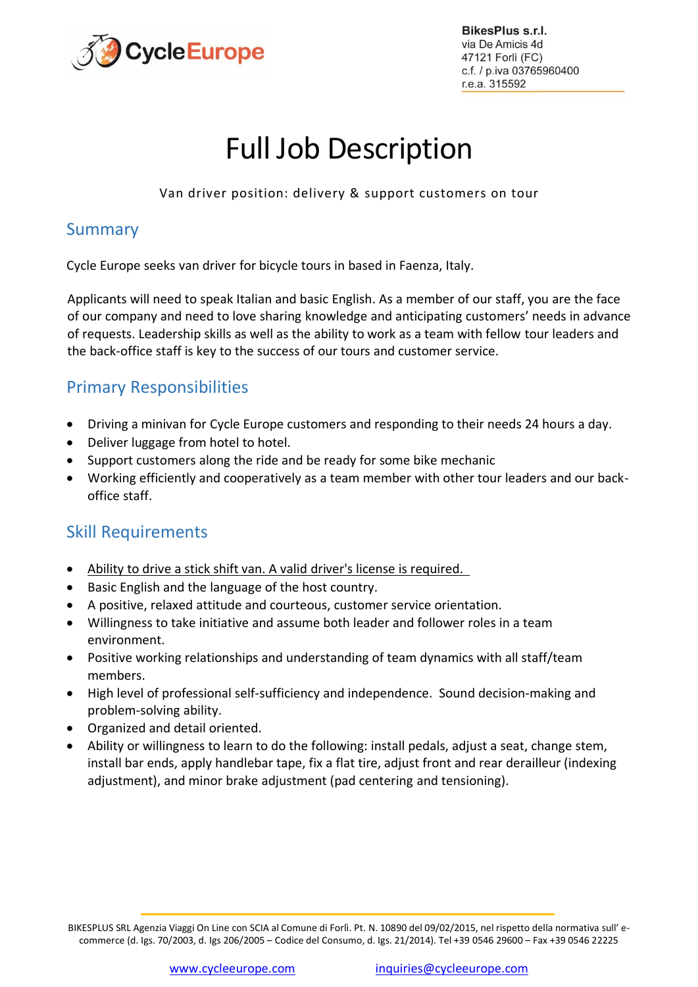

BikesPlus s.r.l. via De Amicis 4d 47121 Forlì (FC) c.f. / p.iva 03765960400 r.e.a. 315592

# Full Job Description

Van driver position: delivery & support customers on tour

## Summary

Cycle Europe seeks van driver for bicycle tours in based in Faenza, Italy.

Applicants will need to speak Italian and basic English. As a member of our staff, you are the face of our company and need to love sharing knowledge and anticipating customers' needs in advance of requests. Leadership skills as well as the ability to work as a team with fellow tour leaders and the back-office staff is key to the success of our tours and customer service.

# Primary Responsibilities

- Driving a minivan for Cycle Europe customers and responding to their needs 24 hours a day.
- Deliver luggage from hotel to hotel.
- Support customers along the ride and be ready for some bike mechanic
- Working efficiently and cooperatively as a team member with other tour leaders and our backoffice staff.

## Skill Requirements

- Ability to drive a stick shift van. A valid driver's license is required.
- Basic English and the language of the host country.
- A positive, relaxed attitude and courteous, customer service orientation.
- Willingness to take initiative and assume both leader and follower roles in a team environment.
- Positive working relationships and understanding of team dynamics with all staff/team members.
- High level of professional self-sufficiency and independence. Sound decision-making and problem-solving ability.
- Organized and detail oriented.
- Ability or willingness to learn to do the following: install pedals, adjust a seat, change stem, install bar ends, apply handlebar tape, fix a flat tire, adjust front and rear derailleur (indexing adjustment), and minor brake adjustment (pad centering and tensioning).

BIKESPLUS SRL Agenzia Viaggi On Line con SCIA al Comune di Forlì. Pt. N. 10890 del 09/02/2015, nel rispetto della normativa sull' ecommerce (d. Igs. 70/2003, d. Igs 206/2005 – Codice del Consumo, d. Igs. 21/2014). Tel +39 0546 29600 – Fax +39 0546 22225